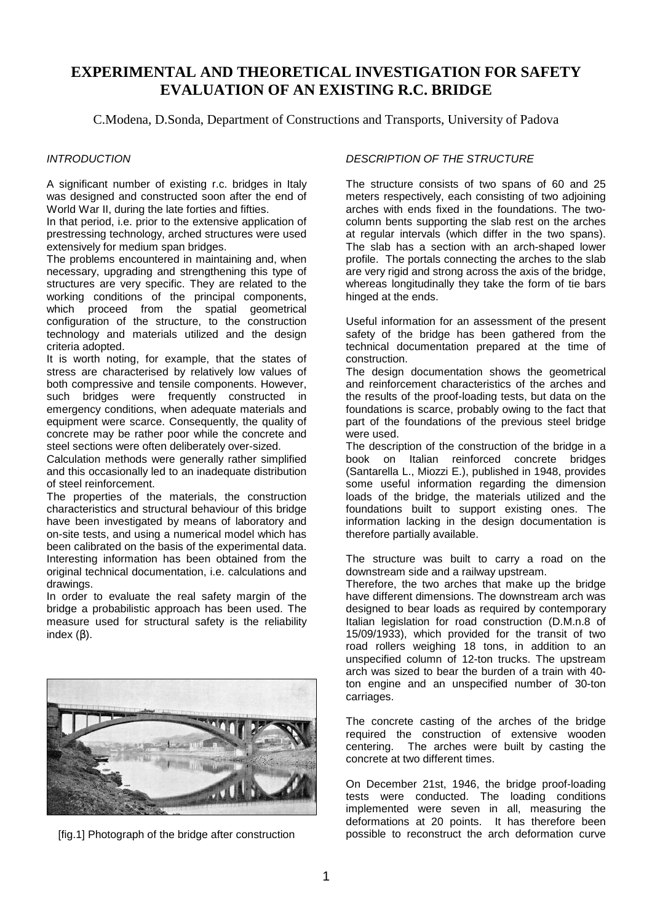# **EXPERIMENTAL AND THEORETICAL INVESTIGATION FOR SAFETY EVALUATION OF AN EXISTING R.C. BRIDGE**

C.Modena, D.Sonda, Department of Constructions and Transports, University of Padova

### **INTRODUCTION**

A significant number of existing r.c. bridges in Italy was designed and constructed soon after the end of World War II, during the late forties and fifties.

In that period, i.e. prior to the extensive application of prestressing technology, arched structures were used extensively for medium span bridges.

The problems encountered in maintaining and, when necessary, upgrading and strengthening this type of structures are very specific. They are related to the working conditions of the principal components, which proceed from the spatial geometrical configuration of the structure, to the construction technology and materials utilized and the design criteria adopted.

It is worth noting, for example, that the states of stress are characterised by relatively low values of both compressive and tensile components. However, such bridges were frequently constructed in emergency conditions, when adequate materials and equipment were scarce. Consequently, the quality of concrete may be rather poor while the concrete and steel sections were often deliberately over-sized.

Calculation methods were generally rather simplified and this occasionally led to an inadequate distribution of steel reinforcement.

The properties of the materials, the construction characteristics and structural behaviour of this bridge have been investigated by means of laboratory and on-site tests, and using a numerical model which has been calibrated on the basis of the experimental data. Interesting information has been obtained from the original technical documentation, i.e. calculations and drawings.

In order to evaluate the real safety margin of the bridge a probabilistic approach has been used. The measure used for structural safety is the reliability index (β).



[fig.1] Photograph of the bridge after construction

## DESCRIPTION OF THE STRUCTURE

The structure consists of two spans of 60 and 25 meters respectively, each consisting of two adjoining arches with ends fixed in the foundations. The twocolumn bents supporting the slab rest on the arches at regular intervals (which differ in the two spans). The slab has a section with an arch-shaped lower profile. The portals connecting the arches to the slab are very rigid and strong across the axis of the bridge, whereas longitudinally they take the form of tie bars hinged at the ends.

Useful information for an assessment of the present safety of the bridge has been gathered from the technical documentation prepared at the time of construction.

The design documentation shows the geometrical and reinforcement characteristics of the arches and the results of the proof-loading tests, but data on the foundations is scarce, probably owing to the fact that part of the foundations of the previous steel bridge were used.

The description of the construction of the bridge in a book on Italian reinforced concrete bridges (Santarella L., Miozzi E.), published in 1948, provides some useful information regarding the dimension loads of the bridge, the materials utilized and the foundations built to support existing ones. The information lacking in the design documentation is therefore partially available.

The structure was built to carry a road on the downstream side and a railway upstream.

Therefore, the two arches that make up the bridge have different dimensions. The downstream arch was designed to bear loads as required by contemporary Italian legislation for road construction (D.M.n.8 of 15/09/1933), which provided for the transit of two road rollers weighing 18 tons, in addition to an unspecified column of 12-ton trucks. The upstream arch was sized to bear the burden of a train with 40 ton engine and an unspecified number of 30-ton carriages.

The concrete casting of the arches of the bridge required the construction of extensive wooden centering. The arches were built by casting the concrete at two different times.

On December 21st, 1946, the bridge proof-loading tests were conducted. The loading conditions implemented were seven in all, measuring the deformations at 20 points. It has therefore been possible to reconstruct the arch deformation curve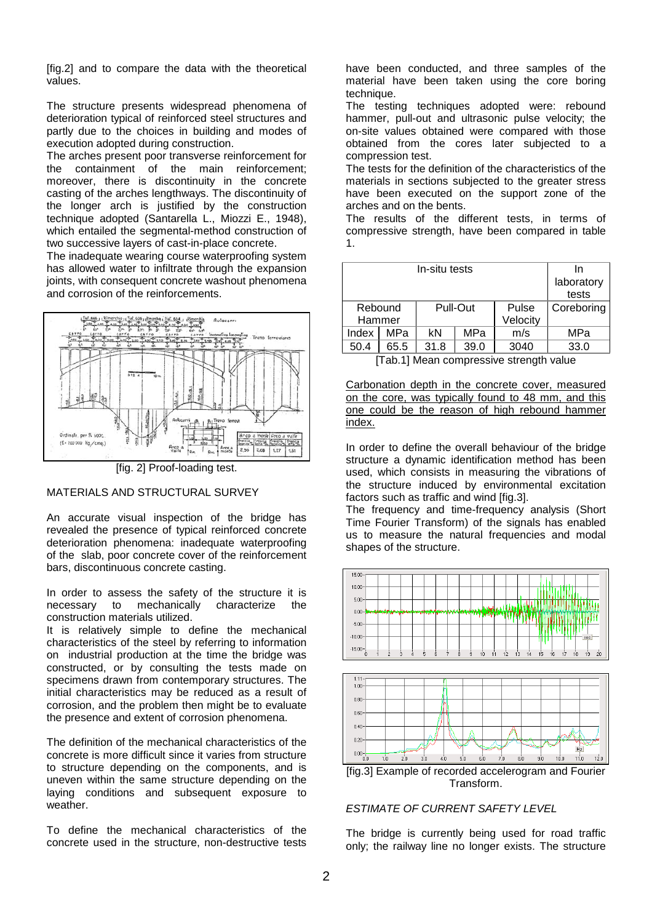[fig.2] and to compare the data with the theoretical values.

The structure presents widespread phenomena of deterioration typical of reinforced steel structures and partly due to the choices in building and modes of execution adopted during construction.

The arches present poor transverse reinforcement for the containment of the main reinforcement; moreover, there is discontinuity in the concrete casting of the arches lengthways. The discontinuity of the longer arch is justified by the construction technique adopted (Santarella L., Miozzi E., 1948), which entailed the segmental-method construction of two successive layers of cast-in-place concrete.

The inadequate wearing course waterproofing system has allowed water to infiltrate through the expansion joints, with consequent concrete washout phenomena and corrosion of the reinforcements.



[fig. 2] Proof-loading test.

## MATERIALS AND STRUCTURAL SURVEY

An accurate visual inspection of the bridge has revealed the presence of typical reinforced concrete deterioration phenomena: inadequate waterproofing of the slab, poor concrete cover of the reinforcement bars, discontinuous concrete casting.

In order to assess the safety of the structure it is necessary to mechanically characterize the construction materials utilized.

It is relatively simple to define the mechanical characteristics of the steel by referring to information on industrial production at the time the bridge was constructed, or by consulting the tests made on specimens drawn from contemporary structures. The initial characteristics may be reduced as a result of corrosion, and the problem then might be to evaluate the presence and extent of corrosion phenomena.

The definition of the mechanical characteristics of the concrete is more difficult since it varies from structure to structure depending on the components, and is uneven within the same structure depending on the laying conditions and subsequent exposure to weather.

To define the mechanical characteristics of the concrete used in the structure, non-destructive tests have been conducted, and three samples of the material have been taken using the core boring technique.

The testing techniques adopted were: rebound hammer, pull-out and ultrasonic pulse velocity; the on-site values obtained were compared with those obtained from the cores later subjected to a compression test.

The tests for the definition of the characteristics of the materials in sections subjected to the greater stress have been executed on the support zone of the arches and on the bents.

The results of the different tests, in terms of compressive strength, have been compared in table 1.

|         | In<br>laboratory<br>tests |          |      |          |            |
|---------|---------------------------|----------|------|----------|------------|
| Rebound |                           | Pull-Out |      | Pulse    | Coreboring |
| Hammer  |                           |          |      | Velocity |            |
| Index   | <b>MPa</b>                | kN       | MPa  | m/s      | MPa        |
| 50.4    | 65.5                      | 31.8     | 39.0 | 3040     | 33.0       |

[Tab.1] Mean compressive strength value

Carbonation depth in the concrete cover, measured on the core, was typically found to 48 mm, and this one could be the reason of high rebound hammer index.

In order to define the overall behaviour of the bridge structure a dynamic identification method has been used, which consists in measuring the vibrations of the structure induced by environmental excitation factors such as traffic and wind [fig.3].

The frequency and time-frequency analysis (Short Time Fourier Transform) of the signals has enabled us to measure the natural frequencies and modal shapes of the structure.



## ESTIMATE OF CURRENT SAFETY LEVEL

The bridge is currently being used for road traffic only; the railway line no longer exists. The structure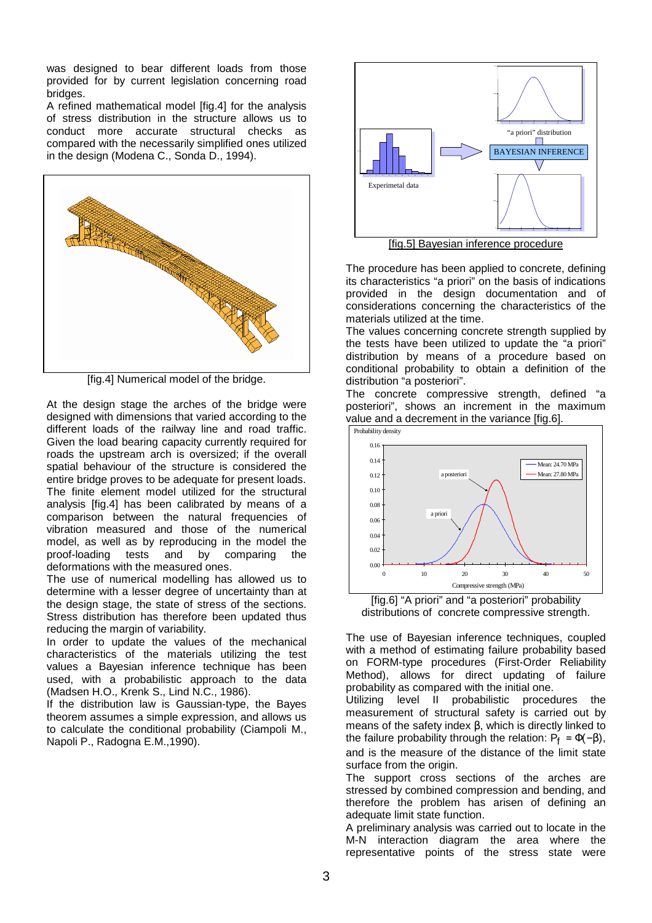was designed to bear different loads from those provided for by current legislation concerning road bridges.

A refined mathematical model [fig.4] for the analysis of stress distribution in the structure allows us to conduct more accurate structural checks as compared with the necessarily simplified ones utilized in the design (Modena C., Sonda D., 1994).



[fig.4] Numerical model of the bridge.

At the design stage the arches of the bridge were designed with dimensions that varied according to the different loads of the railway line and road traffic. Given the load bearing capacity currently required for roads the upstream arch is oversized; if the overall spatial behaviour of the structure is considered the entire bridge proves to be adequate for present loads. The finite element model utilized for the structural analysis [fig.4] has been calibrated by means of a comparison between the natural frequencies of vibration measured and those of the numerical model, as well as by reproducing in the model the proof-loading tests and by comparing the deformations with the measured ones.

The use of numerical modelling has allowed us to determine with a lesser degree of uncertainty than at the design stage, the state of stress of the sections. Stress distribution has therefore been updated thus reducing the margin of variability.

In order to update the values of the mechanical characteristics of the materials utilizing the test values a Bayesian inference technique has been used, with a probabilistic approach to the data (Madsen H.O., Krenk S., Lind N.C., 1986).

If the distribution law is Gaussian-type, the Bayes theorem assumes a simple expression, and allows us to calculate the conditional probability (Ciampoli M., Napoli P., Radogna E.M.,1990).



The procedure has been applied to concrete, defining its characteristics "a priori" on the basis of indications provided in the design documentation and of considerations concerning the characteristics of the materials utilized at the time.

The values concerning concrete strength supplied by the tests have been utilized to update the "a priori" distribution by means of a procedure based on conditional probability to obtain a definition of the distribution "a posteriori".

The concrete compressive strength, defined "a posteriori", shows an increment in the maximum value and a decrement in the variance [fig.6].



[fig.6] "A priori" and "a posteriori" probability distributions of concrete compressive strength.

The use of Bayesian inference techniques, coupled with a method of estimating failure probability based on FORM-type procedures (First-Order Reliability Method), allows for direct updating of failure probability as compared with the initial one.

Utilizing level II probabilistic procedures the measurement of structural safety is carried out by means of the safety index  $β$ , which is directly linked to the failure probability through the relation:  $P_f = \Phi(-\beta)$ , and is the measure of the distance of the limit state surface from the origin.

The support cross sections of the arches are stressed by combined compression and bending, and therefore the problem has arisen of defining an adequate limit state function.

A preliminary analysis was carried out to locate in the M-N interaction diagram the area where the representative points of the stress state were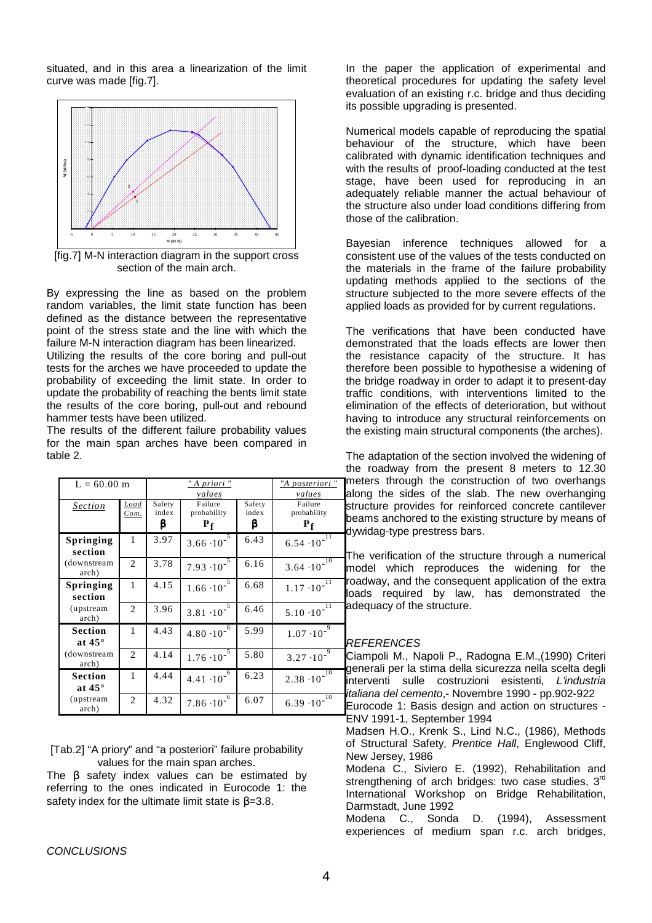situated, and in this area a linearization of the limit curve was made [fig.7].



[fig.7] M-N interaction diagram in the support cross section of the main arch.

By expressing the line as based on the problem random variables, the limit state function has been defined as the distance between the representative point of the stress state and the line with which the failure M-N interaction diagram has been linearized.

Utilizing the results of the core boring and pull-out tests for the arches we have proceeded to update the probability of exceeding the limit state. In order to update the probability of reaching the bents limit state the results of the core boring, pull-out and rebound hammer tests have been utilized.

The results of the different failure probability values for the main span arches have been compared in table 2.

| $L = 60.00$ m                   |                | " A priori "<br>values |                                 |                      | "A posteriori "<br>values         |
|---------------------------------|----------------|------------------------|---------------------------------|----------------------|-----------------------------------|
| <b>Section</b>                  | Load<br>Com.   | Safety<br>index<br>B   | Failure<br>probability<br>$P_f$ | Safety<br>index<br>β | Failure<br>probability<br>$P_{f}$ |
| Springing<br>section            | 1              | 3.97                   | $3.66 \cdot 10^{-7}$            | 6.43                 | 11<br>$6.54 \cdot 10^{-7}$        |
| (downstream)<br>arch)           | $\overline{c}$ | 3.78                   | $7.93 \cdot 10^{-5}$            | 6.16                 | 10<br>$3.64 \cdot 10^{-7}$        |
| <b>Springing</b><br>section     | 1              | 4.15                   | $1.66 \cdot 10^{-5}$            | 6.68                 | $1.17 \cdot 10^{-\overline{11}}$  |
| (upstream<br>arch)              | $\overline{2}$ | 3.96                   | $3.81 \cdot 10^{-7}$            | 6.46                 | 11<br>$5.10 \cdot 10^{-7}$        |
| <b>Section</b><br>at $45^\circ$ | 1              | 4.43                   | $4.80 \cdot 10^{-6}$            | 5.99                 | $1.07 \cdot 10^{-9}$              |
| (downstream)<br>arch)           | $\overline{c}$ | 4.14                   | $1.76 \cdot 10^{-7}$            | 5.80                 | $3.27 \cdot 10^{-9}$              |
| <b>Section</b><br>at $45^\circ$ | 1              | 4.44                   | $4.41 \cdot 10^{-7}$            | 6.23                 | 10<br>$2.38 \cdot 10^{-7}$        |
| (upstream<br>arch)              | $\mathfrak{D}$ | 4.32                   | $7.86 \cdot 10^{-7}$            | 6.07                 | 10<br>$6.39 \cdot 10^{-7}$        |

[Tab.2] "A priory" and "a posteriori" failure probability values for the main span arches.

The β safety index values can be estimated by referring to the ones indicated in Eurocode 1: the safety index for the ultimate limit state is  $\beta$ =3.8.

In the paper the application of experimental and theoretical procedures for updating the safety level evaluation of an existing r.c. bridge and thus deciding its possible upgrading is presented.

Numerical models capable of reproducing the spatial behaviour of the structure, which have been calibrated with dynamic identification techniques and with the results of proof-loading conducted at the test stage, have been used for reproducing in an adequately reliable manner the actual behaviour of the structure also under load conditions differing from those of the calibration.

Bayesian inference techniques allowed for a consistent use of the values of the tests conducted on the materials in the frame of the failure probability updating methods applied to the sections of the structure subjected to the more severe effects of the applied loads as provided for by current regulations.

The verifications that have been conducted have demonstrated that the loads effects are lower then the resistance capacity of the structure. It has therefore been possible to hypothesise a widening of the bridge roadway in order to adapt it to present-day traffic conditions, with interventions limited to the elimination of the effects of deterioration, but without having to introduce any structural reinforcements on the existing main structural components (the arches).

The adaptation of the section involved the widening of the roadway from the present 8 meters to 12.30 meters through the construction of two overhangs along the sides of the slab. The new overhanging structure provides for reinforced concrete cantilever beams anchored to the existing structure by means of dywidag-type prestress bars.

The verification of the structure through a numerical model which reproduces the widening for the roadway, and the consequent application of the extra loads required by law, has demonstrated the adequacy of the structure.

## REFERENCES

Ciampoli M., Napoli P., Radogna E.M.,(1990) Criteri generali per la stima della sicurezza nella scelta degli interventi sulle costruzioni esistenti, L'industria italiana del cemento,- Novembre 1990 - pp.902-922 Eurocode 1: Basis design and action on structures - ENV 1991-1, September 1994 Madsen H.O., Krenk S., Lind N.C., (1986), Methods of Structural Safety, Prentice Hall, Englewood Cliff, New Jersey, 1986 Modena C., Siviero E. (1992), Rehabilitation and strengthening of arch bridges: two case studies, 3<sup>rd</sup> International Workshop on Bridge Rehabilitation, Darmstadt, June 1992

Modena C., Sonda D. (1994), Assessment experiences of medium span r.c. arch bridges,